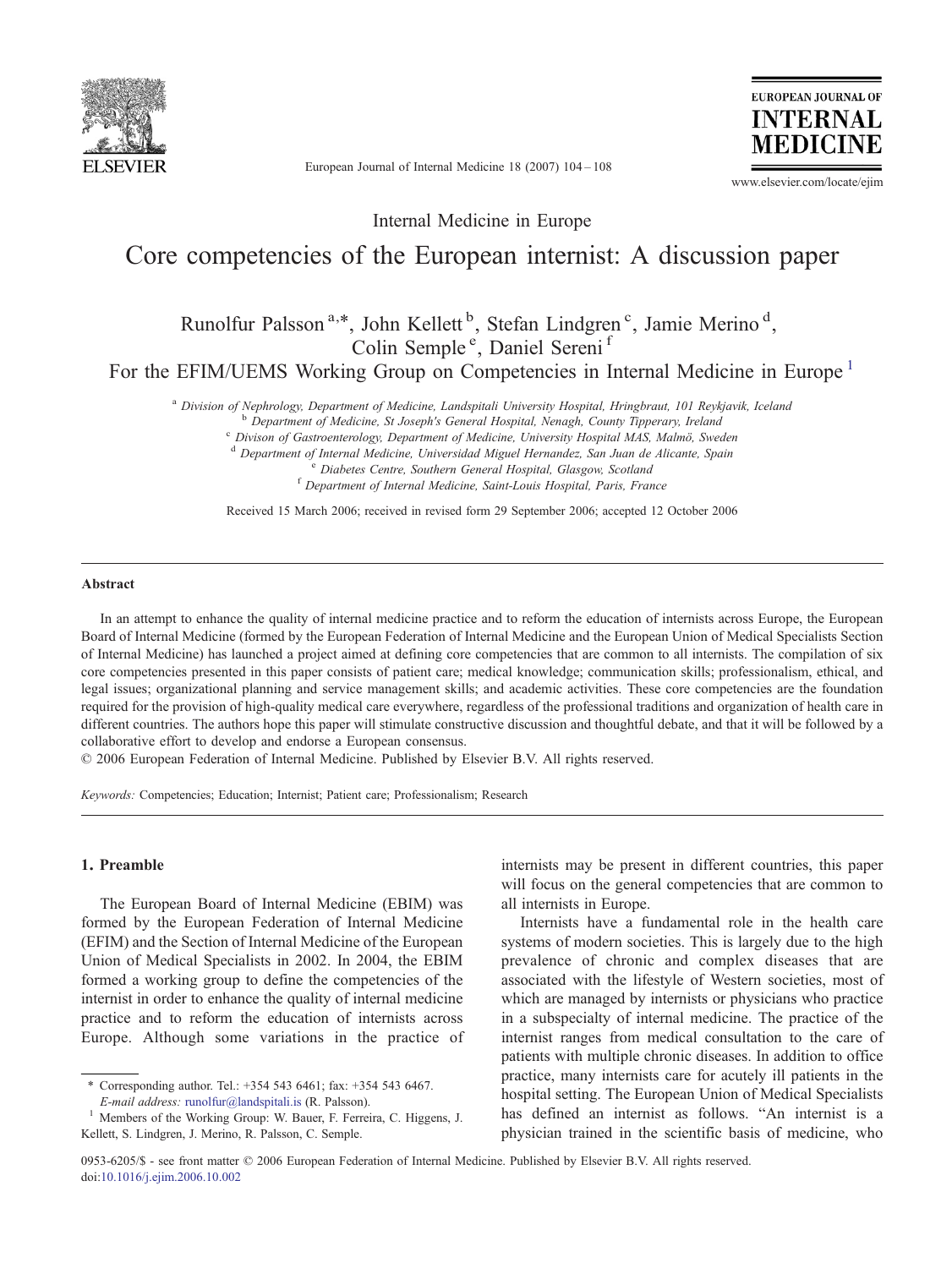

European Journal of Internal Medicine 18 (2007) 104–108

**INTERNAL MEDICINE** 

**EUROPEAN JOURNAL OF** 

www.elsevier.com/locate/ejim

Internal Medicine in Europe

# Core competencies of the European internist: A discussion paper

Runolfur Palsson<sup>a,\*</sup>, John Kellett<sup>b</sup>, Stefan Lindgren<sup>c</sup>, Jamie Merino<sup>d</sup>, Colin Semple<sup>e</sup>, Daniel Sereni<sup>1</sup>

For the EFIM/UEMS Working Group on Competencies in Internal Medicine in Europe<sup>1</sup>

a Division of Nephrology, Department of Medicine, Landspitali University Hospital, Hringbraut, 101 Reykjavik, Iceland<br><sup>b</sup> Department of Medicine, St Joseph's General Hospital, Nenagh, County Tipperary, Ireland

<sup>c</sup> Divison of Gastroenterology, Department of Medicine, University Hospital MAS, Malmö, Sweden

 $^{\rm d}$ Department of Internal Medicine, Universidad Miguel Hernandez, San Juan de Alicante, Spain $^{\rm e}$ Diabetes Centre, Southern General Hospital, Glasgow, Scotland  $^{\rm f}$ Department of Internal Medicine, Saint-Louis Hos

Received 15 March 2006; received in revised form 29 September 2006; accepted 12 October 2006

#### Abstract

In an attempt to enhance the quality of internal medicine practice and to reform the education of internists across Europe, the European Board of Internal Medicine (formed by the European Federation of Internal Medicine and the European Union of Medical Specialists Section of Internal Medicine) has launched a project aimed at defining core competencies that are common to all internists. The compilation of six core competencies presented in this paper consists of patient care; medical knowledge; communication skills; professionalism, ethical, and legal issues; organizational planning and service management skills; and academic activities. These core competencies are the foundation required for the provision of high-quality medical care everywhere, regardless of the professional traditions and organization of health care in different countries. The authors hope this paper will stimulate constructive discussion and thoughtful debate, and that it will be followed by a collaborative effort to develop and endorse a European consensus.

© 2006 European Federation of Internal Medicine. Published by Elsevier B.V. All rights reserved.

Keywords: Competencies; Education; Internist; Patient care; Professionalism; Research

#### 1. Preamble

The European Board of Internal Medicine (EBIM) was formed by the European Federation of Internal Medicine (EFIM) and the Section of Internal Medicine of the European Union of Medical Specialists in 2002. In 2004, the EBIM formed a working group to define the competencies of the internist in order to enhance the quality of internal medicine practice and to reform the education of internists across Europe. Although some variations in the practice of internists may be present in different countries, this paper will focus on the general competencies that are common to all internists in Europe.

Internists have a fundamental role in the health care systems of modern societies. This is largely due to the high prevalence of chronic and complex diseases that are associated with the lifestyle of Western societies, most of which are managed by internists or physicians who practice in a subspecialty of internal medicine. The practice of the internist ranges from medical consultation to the care of patients with multiple chronic diseases. In addition to office practice, many internists care for acutely ill patients in the hospital setting. The European Union of Medical Specialists has defined an internist as follows. "An internist is a physician trained in the scientific basis of medicine, who

<sup>⁎</sup> Corresponding author. Tel.: +354 543 6461; fax: +354 543 6467. E-mail address: [runolfur@landspitali.is](mailto:runolfur@landspitali.is) (R. Palsson).<br>Members of the Working Group: W. Bauer, F. Ferreira, C. Higgens, J.

Kellett, S. Lindgren, J. Merino, R. Palsson, C. Semple.

<sup>0953-6205/\$ -</sup> see front matter © 2006 European Federation of Internal Medicine. Published by Elsevier B.V. All rights reserved. doi[:10.1016/j.ejim.2006.10.002](http://dx.doi.org/10.1016/j.ejim.2006.10.002)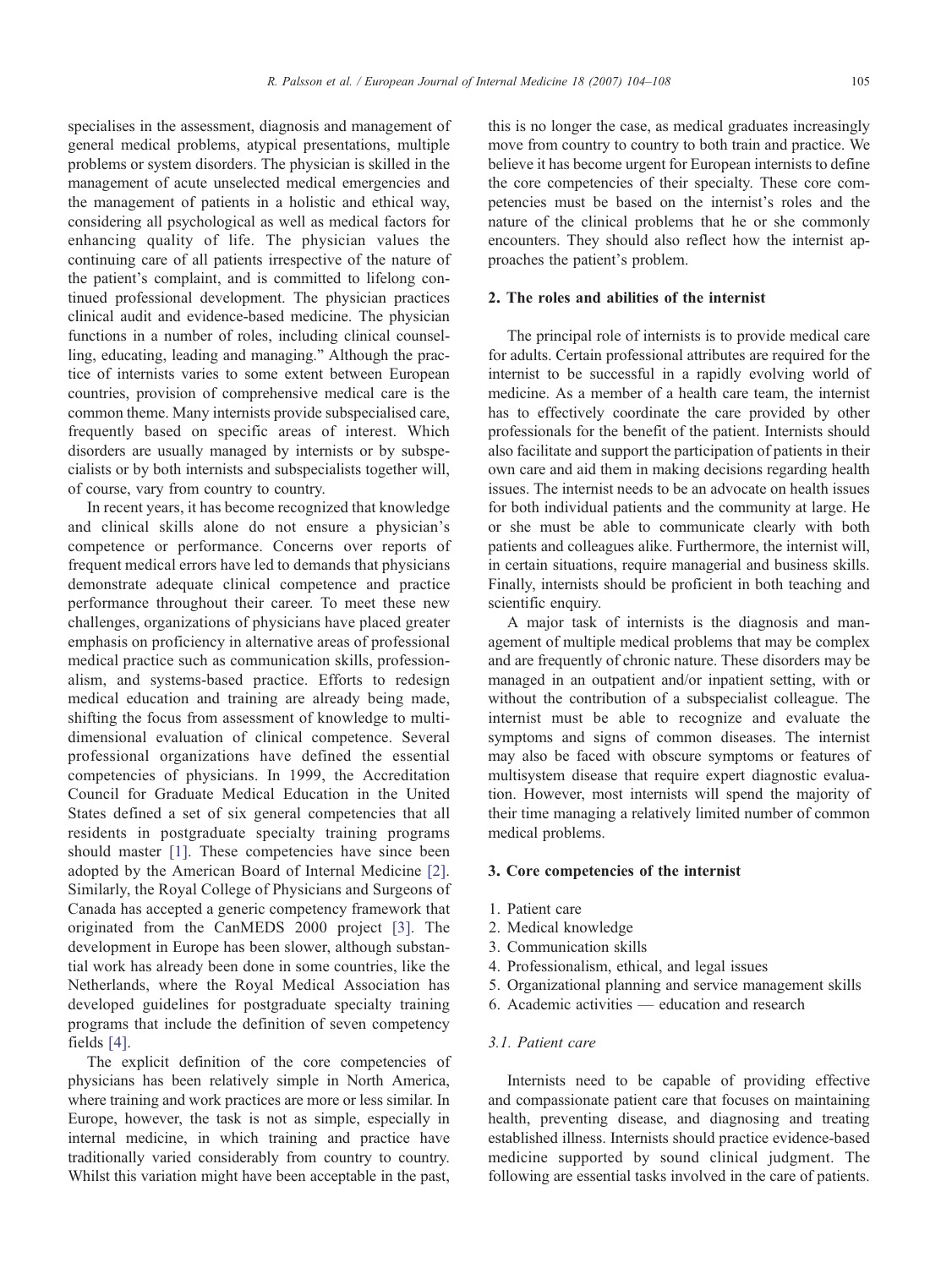specialises in the assessment, diagnosis and management of general medical problems, atypical presentations, multiple problems or system disorders. The physician is skilled in the management of acute unselected medical emergencies and the management of patients in a holistic and ethical way, considering all psychological as well as medical factors for enhancing quality of life. The physician values the continuing care of all patients irrespective of the nature of the patient's complaint, and is committed to lifelong continued professional development. The physician practices clinical audit and evidence-based medicine. The physician functions in a number of roles, including clinical counselling, educating, leading and managing." Although the practice of internists varies to some extent between European countries, provision of comprehensive medical care is the common theme. Many internists provide subspecialised care, frequently based on specific areas of interest. Which disorders are usually managed by internists or by subspecialists or by both internists and subspecialists together will, of course, vary from country to country.

In recent years, it has become recognized that knowledge and clinical skills alone do not ensure a physician's competence or performance. Concerns over reports of frequent medical errors have led to demands that physicians demonstrate adequate clinical competence and practice performance throughout their career. To meet these new challenges, organizations of physicians have placed greater emphasis on proficiency in alternative areas of professional medical practice such as communication skills, professionalism, and systems-based practice. Efforts to redesign medical education and training are already being made, shifting the focus from assessment of knowledge to multidimensional evaluation of clinical competence. Several professional organizations have defined the essential competencies of physicians. In 1999, the Accreditation Council for Graduate Medical Education in the United States defined a set of six general competencies that all residents in postgraduate specialty training programs should master [\[1\].](#page-4-0) These competencies have since been adopted by the American Board of Internal Medicine [\[2\]](#page-4-0). Similarly, the Royal College of Physicians and Surgeons of Canada has accepted a generic competency framework that originated from the CanMEDS 2000 project [\[3\]](#page-4-0). The development in Europe has been slower, although substantial work has already been done in some countries, like the Netherlands, where the Royal Medical Association has developed guidelines for postgraduate specialty training programs that include the definition of seven competency fields [\[4\].](#page-4-0)

The explicit definition of the core competencies of physicians has been relatively simple in North America, where training and work practices are more or less similar. In Europe, however, the task is not as simple, especially in internal medicine, in which training and practice have traditionally varied considerably from country to country. Whilst this variation might have been acceptable in the past,

this is no longer the case, as medical graduates increasingly move from country to country to both train and practice. We believe it has become urgent for European internists to define the core competencies of their specialty. These core competencies must be based on the internist's roles and the nature of the clinical problems that he or she commonly encounters. They should also reflect how the internist approaches the patient's problem.

## 2. The roles and abilities of the internist

The principal role of internists is to provide medical care for adults. Certain professional attributes are required for the internist to be successful in a rapidly evolving world of medicine. As a member of a health care team, the internist has to effectively coordinate the care provided by other professionals for the benefit of the patient. Internists should also facilitate and support the participation of patients in their own care and aid them in making decisions regarding health issues. The internist needs to be an advocate on health issues for both individual patients and the community at large. He or she must be able to communicate clearly with both patients and colleagues alike. Furthermore, the internist will, in certain situations, require managerial and business skills. Finally, internists should be proficient in both teaching and scientific enquiry.

A major task of internists is the diagnosis and management of multiple medical problems that may be complex and are frequently of chronic nature. These disorders may be managed in an outpatient and/or inpatient setting, with or without the contribution of a subspecialist colleague. The internist must be able to recognize and evaluate the symptoms and signs of common diseases. The internist may also be faced with obscure symptoms or features of multisystem disease that require expert diagnostic evaluation. However, most internists will spend the majority of their time managing a relatively limited number of common medical problems.

## 3. Core competencies of the internist

- 1. Patient care
- 2. Medical knowledge
- 3. Communication skills
- 4. Professionalism, ethical, and legal issues
- 5. Organizational planning and service management skills
- 6. Academic activities education and research

# 3.1. Patient care

Internists need to be capable of providing effective and compassionate patient care that focuses on maintaining health, preventing disease, and diagnosing and treating established illness. Internists should practice evidence-based medicine supported by sound clinical judgment. The following are essential tasks involved in the care of patients.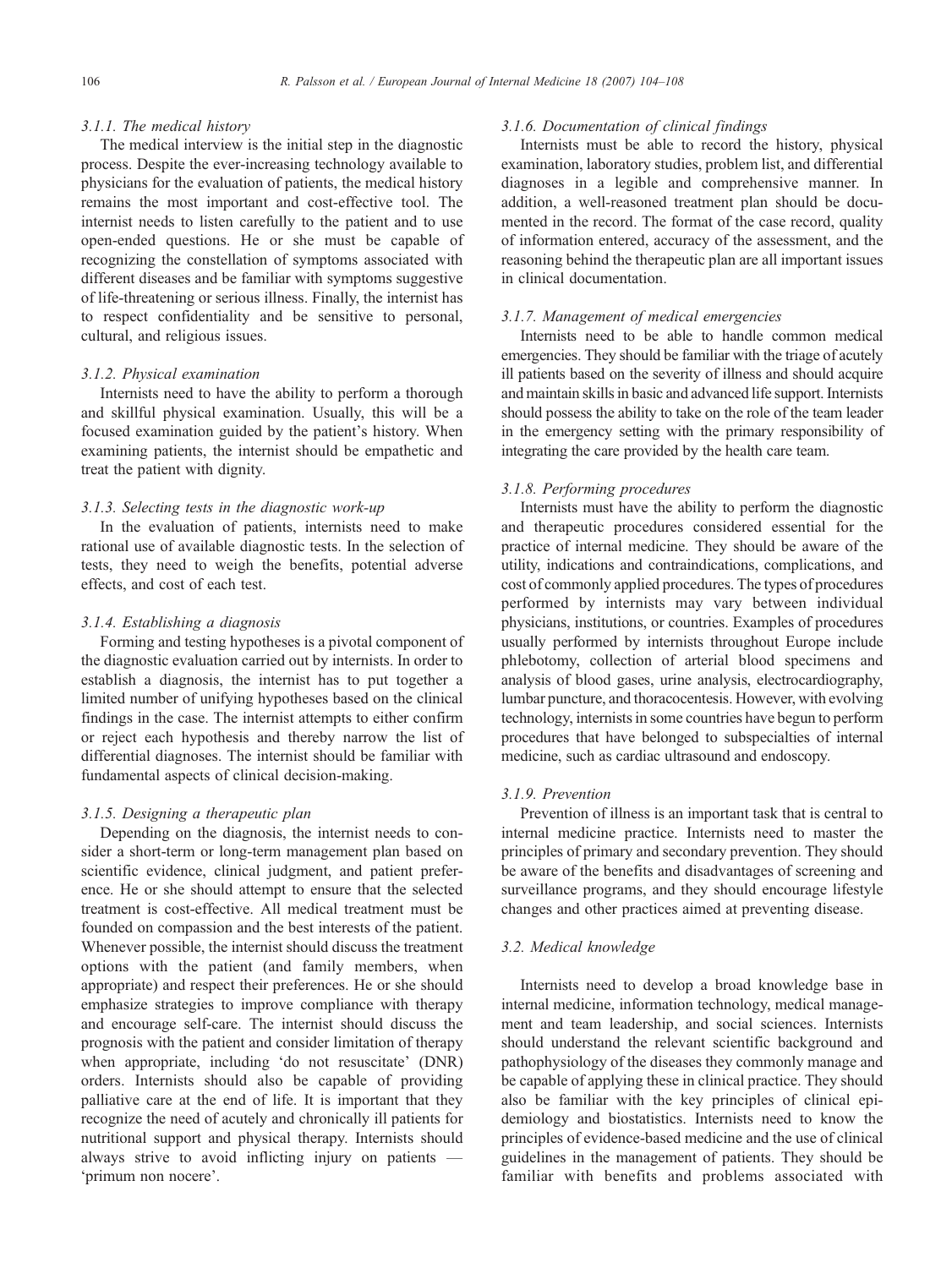## 3.1.1. The medical history

The medical interview is the initial step in the diagnostic process. Despite the ever-increasing technology available to physicians for the evaluation of patients, the medical history remains the most important and cost-effective tool. The internist needs to listen carefully to the patient and to use open-ended questions. He or she must be capable of recognizing the constellation of symptoms associated with different diseases and be familiar with symptoms suggestive of life-threatening or serious illness. Finally, the internist has to respect confidentiality and be sensitive to personal, cultural, and religious issues.

#### 3.1.2. Physical examination

Internists need to have the ability to perform a thorough and skillful physical examination. Usually, this will be a focused examination guided by the patient's history. When examining patients, the internist should be empathetic and treat the patient with dignity.

#### 3.1.3. Selecting tests in the diagnostic work-up

In the evaluation of patients, internists need to make rational use of available diagnostic tests. In the selection of tests, they need to weigh the benefits, potential adverse effects, and cost of each test.

#### 3.1.4. Establishing a diagnosis

Forming and testing hypotheses is a pivotal component of the diagnostic evaluation carried out by internists. In order to establish a diagnosis, the internist has to put together a limited number of unifying hypotheses based on the clinical findings in the case. The internist attempts to either confirm or reject each hypothesis and thereby narrow the list of differential diagnoses. The internist should be familiar with fundamental aspects of clinical decision-making.

#### 3.1.5. Designing a therapeutic plan

Depending on the diagnosis, the internist needs to consider a short-term or long-term management plan based on scientific evidence, clinical judgment, and patient preference. He or she should attempt to ensure that the selected treatment is cost-effective. All medical treatment must be founded on compassion and the best interests of the patient. Whenever possible, the internist should discuss the treatment options with the patient (and family members, when appropriate) and respect their preferences. He or she should emphasize strategies to improve compliance with therapy and encourage self-care. The internist should discuss the prognosis with the patient and consider limitation of therapy when appropriate, including 'do not resuscitate' (DNR) orders. Internists should also be capable of providing palliative care at the end of life. It is important that they recognize the need of acutely and chronically ill patients for nutritional support and physical therapy. Internists should always strive to avoid inflicting injury on patients — 'primum non nocere'.

## 3.1.6. Documentation of clinical findings

Internists must be able to record the history, physical examination, laboratory studies, problem list, and differential diagnoses in a legible and comprehensive manner. In addition, a well-reasoned treatment plan should be documented in the record. The format of the case record, quality of information entered, accuracy of the assessment, and the reasoning behind the therapeutic plan are all important issues in clinical documentation.

#### 3.1.7. Management of medical emergencies

Internists need to be able to handle common medical emergencies. They should be familiar with the triage of acutely ill patients based on the severity of illness and should acquire and maintain skills in basic and advanced life support. Internists should possess the ability to take on the role of the team leader in the emergency setting with the primary responsibility of integrating the care provided by the health care team.

#### 3.1.8. Performing procedures

Internists must have the ability to perform the diagnostic and therapeutic procedures considered essential for the practice of internal medicine. They should be aware of the utility, indications and contraindications, complications, and cost of commonly applied procedures. The types of procedures performed by internists may vary between individual physicians, institutions, or countries. Examples of procedures usually performed by internists throughout Europe include phlebotomy, collection of arterial blood specimens and analysis of blood gases, urine analysis, electrocardiography, lumbar puncture, and thoracocentesis. However, with evolving technology, internists in some countries have begun to perform procedures that have belonged to subspecialties of internal medicine, such as cardiac ultrasound and endoscopy.

#### 3.1.9. Prevention

Prevention of illness is an important task that is central to internal medicine practice. Internists need to master the principles of primary and secondary prevention. They should be aware of the benefits and disadvantages of screening and surveillance programs, and they should encourage lifestyle changes and other practices aimed at preventing disease.

#### 3.2. Medical knowledge

Internists need to develop a broad knowledge base in internal medicine, information technology, medical management and team leadership, and social sciences. Internists should understand the relevant scientific background and pathophysiology of the diseases they commonly manage and be capable of applying these in clinical practice. They should also be familiar with the key principles of clinical epidemiology and biostatistics. Internists need to know the principles of evidence-based medicine and the use of clinical guidelines in the management of patients. They should be familiar with benefits and problems associated with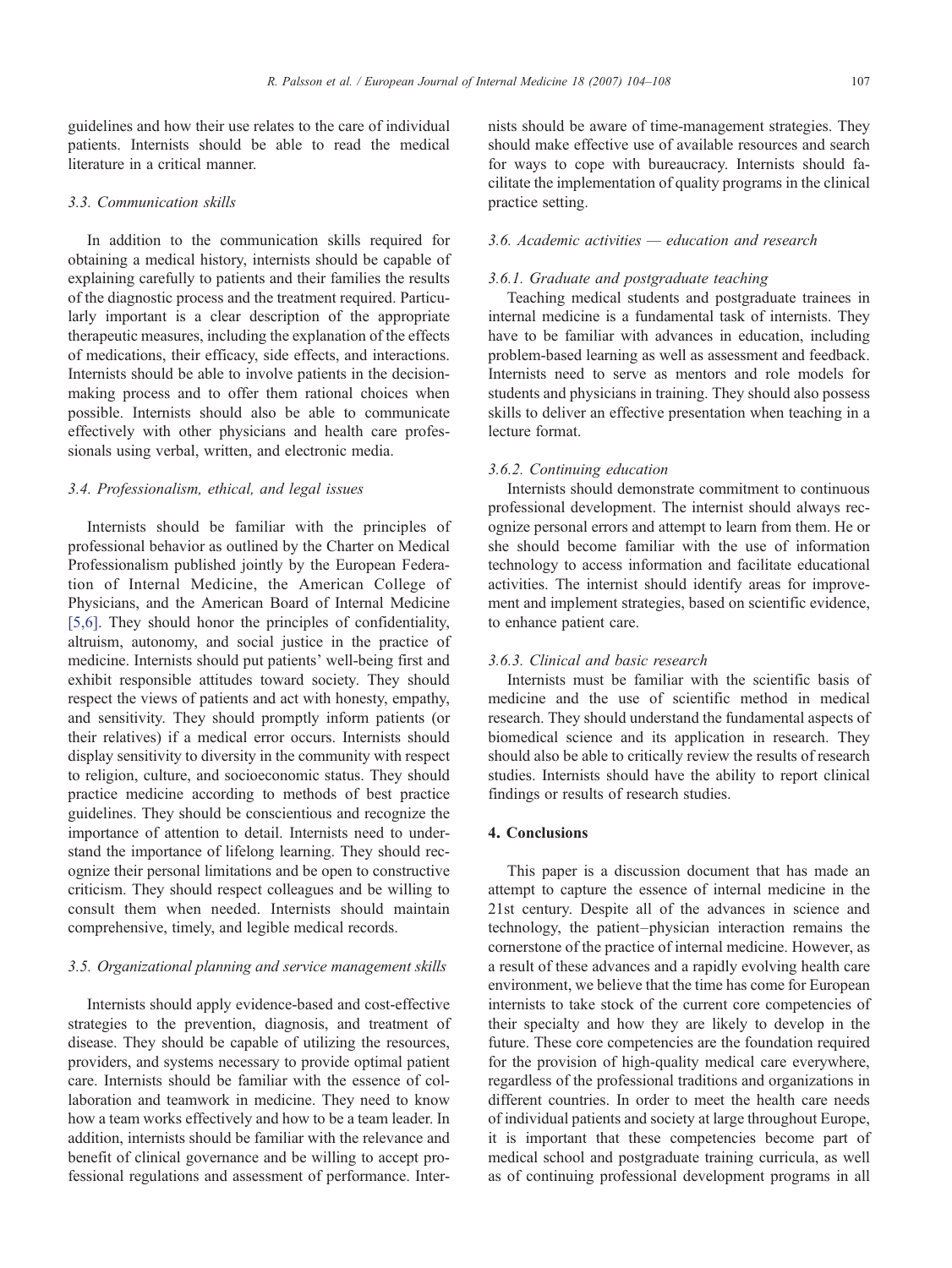guidelines and how their use relates to the care of individual patients. Internists should be able to read the medical literature in a critical manner.

#### 3.3. Communication skills

In addition to the communication skills required for obtaining a medical history, internists should be capable of explaining carefully to patients and their families the results of the diagnostic process and the treatment required. Particularly important is a clear description of the appropriate therapeutic measures, including the explanation of the effects of medications, their efficacy, side effects, and interactions. Internists should be able to involve patients in the decisionmaking process and to offer them rational choices when possible. Internists should also be able to communicate effectively with other physicians and health care professionals using verbal, written, and electronic media.

#### 3.4. Professionalism, ethical, and legal issues

Internists should be familiar with the principles of professional behavior as outlined by the Charter on Medical Professionalism published jointly by the European Federation of Internal Medicine, the American College of Physicians, and the American Board of Internal Medicine [\[5,6\]](#page-4-0). They should honor the principles of confidentiality, altruism, autonomy, and social justice in the practice of medicine. Internists should put patients' well-being first and exhibit responsible attitudes toward society. They should respect the views of patients and act with honesty, empathy, and sensitivity. They should promptly inform patients (or their relatives) if a medical error occurs. Internists should display sensitivity to diversity in the community with respect to religion, culture, and socioeconomic status. They should practice medicine according to methods of best practice guidelines. They should be conscientious and recognize the importance of attention to detail. Internists need to understand the importance of lifelong learning. They should recognize their personal limitations and be open to constructive criticism. They should respect colleagues and be willing to consult them when needed. Internists should maintain comprehensive, timely, and legible medical records.

#### 3.5. Organizational planning and service management skills

Internists should apply evidence-based and cost-effective strategies to the prevention, diagnosis, and treatment of disease. They should be capable of utilizing the resources, providers, and systems necessary to provide optimal patient care. Internists should be familiar with the essence of collaboration and teamwork in medicine. They need to know how a team works effectively and how to be a team leader. In addition, internists should be familiar with the relevance and benefit of clinical governance and be willing to accept professional regulations and assessment of performance. Internists should be aware of time-management strategies. They should make effective use of available resources and search for ways to cope with bureaucracy. Internists should facilitate the implementation of quality programs in the clinical practice setting.

## 3.6. Academic activities — education and research

#### 3.6.1. Graduate and postgraduate teaching

Teaching medical students and postgraduate trainees in internal medicine is a fundamental task of internists. They have to be familiar with advances in education, including problem-based learning as well as assessment and feedback. Internists need to serve as mentors and role models for students and physicians in training. They should also possess skills to deliver an effective presentation when teaching in a lecture format.

#### 3.6.2. Continuing education

Internists should demonstrate commitment to continuous professional development. The internist should always recognize personal errors and attempt to learn from them. He or she should become familiar with the use of information technology to access information and facilitate educational activities. The internist should identify areas for improvement and implement strategies, based on scientific evidence, to enhance patient care.

# 3.6.3. Clinical and basic research

Internists must be familiar with the scientific basis of medicine and the use of scientific method in medical research. They should understand the fundamental aspects of biomedical science and its application in research. They should also be able to critically review the results of research studies. Internists should have the ability to report clinical findings or results of research studies.

## 4. Conclusions

This paper is a discussion document that has made an attempt to capture the essence of internal medicine in the 21st century. Despite all of the advances in science and technology, the patient–physician interaction remains the cornerstone of the practice of internal medicine. However, as a result of these advances and a rapidly evolving health care environment, we believe that the time has come for European internists to take stock of the current core competencies of their specialty and how they are likely to develop in the future. These core competencies are the foundation required for the provision of high-quality medical care everywhere, regardless of the professional traditions and organizations in different countries. In order to meet the health care needs of individual patients and society at large throughout Europe, it is important that these competencies become part of medical school and postgraduate training curricula, as well as of continuing professional development programs in all